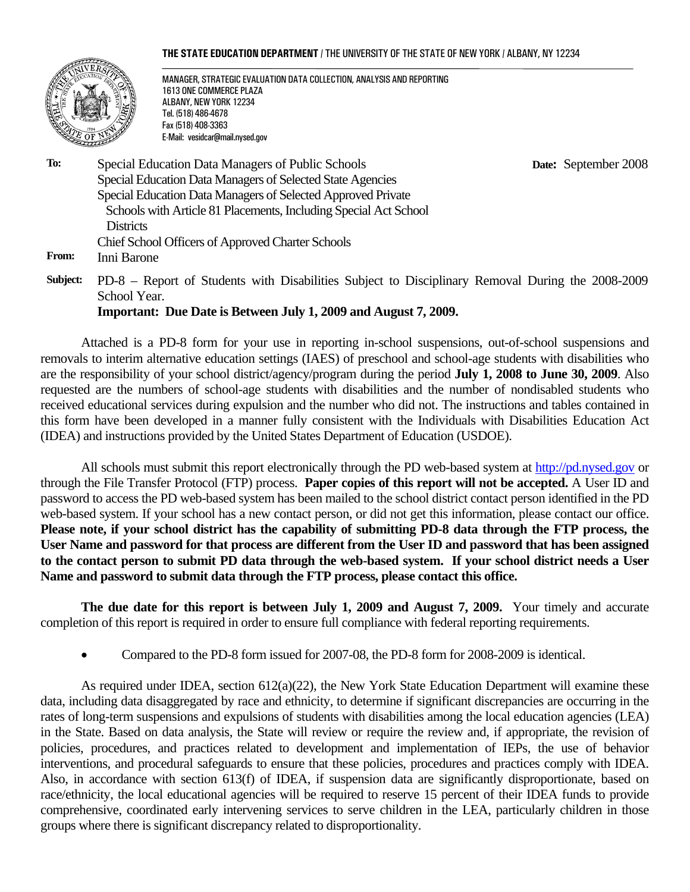#### **THE STATE EDUCATION DEPARTMENT** / THE UNIVERSITY OF THE STATE OF NEW YORK / ALBANY, NY 12234



MANAGER, STRATEGIC EVALUATION DATA COLLECTION, ANALYSIS AND REPORTING 1613 ONE COMMERCE PLAZA ALBANY, NEW YORK 12234 Tel. (518) 486-4678 Fax (518) 408-3363 E-Mail: vesidcar@mail.nysed.gov

 **Date:** September 2008

- **To:** Special Education Data Managers of Public Schools Special Education Data Managers of Selected State Agencies Special Education Data Managers of Selected Approved Private Schools with Article 81 Placements, Including Special Act School **Districts** Chief School Officers of Approved Charter Schools **From:** Inni Barone
- **Subject:** PD-8 Report of Students with Disabilities Subject to Disciplinary Removal During the 2008-2009 School Year.

**Important: Due Date is Between July 1, 2009 and August 7, 2009.**

Attached is a PD-8 form for your use in reporting in-school suspensions, out-of-school suspensions and removals to interim alternative education settings (IAES) of preschool and school-age students with disabilities who are the responsibility of your school district/agency/program during the period **July 1, 2008 to June 30, 2009**. Also requested are the numbers of school-age students with disabilities and the number of nondisabled students who received educational services during expulsion and the number who did not. The instructions and tables contained in this form have been developed in a manner fully consistent with the Individuals with Disabilities Education Act (IDEA) and instructions provided by the United States Department of Education (USDOE).

All schools must submit this report electronically through the PD web-based system at http://pd.nysed.gov or through the File Transfer Protocol (FTP) process. **Paper copies of this report will not be accepted.** A User ID and password to access the PD web-based system has been mailed to the school district contact person identified in the PD web-based system. If your school has a new contact person, or did not get this information, please contact our office. Please note, if your school district has the capability of submitting PD-8 data through the FTP process, the **User Name and password for that process are different from the User ID and password that has been assigned to the contact person to submit PD data through the web-based system. If your school district needs a User Name and password to submit data through the FTP process, please contact this office.** 

**The due date for this report is between July 1, 2009 and August 7, 2009.** Your timely and accurate completion of this report is required in order to ensure full compliance with federal reporting requirements.

• Compared to the PD-8 form issued for 2007-08, the PD-8 form for 2008-2009 is identical.

As required under IDEA, section 612(a)(22), the New York State Education Department will examine these data, including data disaggregated by race and ethnicity, to determine if significant discrepancies are occurring in the rates of long-term suspensions and expulsions of students with disabilities among the local education agencies (LEA) in the State. Based on data analysis, the State will review or require the review and, if appropriate, the revision of policies, procedures, and practices related to development and implementation of IEPs, the use of behavior interventions, and procedural safeguards to ensure that these policies, procedures and practices comply with IDEA. Also, in accordance with section 613(f) of IDEA, if suspension data are significantly disproportionate, based on race/ethnicity, the local educational agencies will be required to reserve 15 percent of their IDEA funds to provide comprehensive, coordinated early intervening services to serve children in the LEA, particularly children in those groups where there is significant discrepancy related to disproportionality.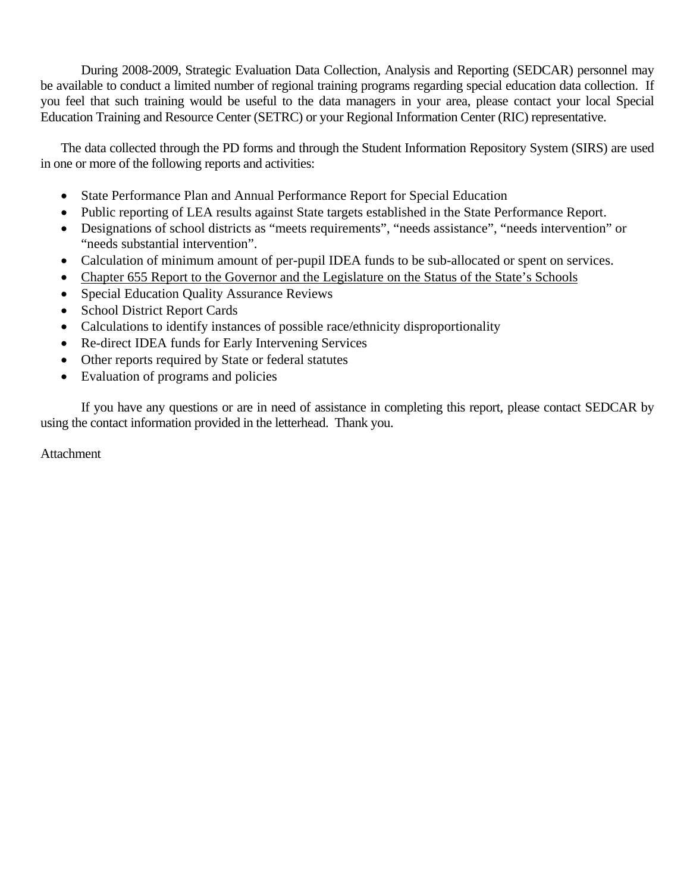During 2008-2009, Strategic Evaluation Data Collection, Analysis and Reporting (SEDCAR) personnel may be available to conduct a limited number of regional training programs regarding special education data collection. If you feel that such training would be useful to the data managers in your area, please contact your local Special Education Training and Resource Center (SETRC) or your Regional Information Center (RIC) representative.

The data collected through the PD forms and through the Student Information Repository System (SIRS) are used in one or more of the following reports and activities:

- State Performance Plan and Annual Performance Report for Special Education
- Public reporting of LEA results against State targets established in the State Performance Report.
- Designations of school districts as "meets requirements", "needs assistance", "needs intervention" or "needs substantial intervention".
- Calculation of minimum amount of per-pupil IDEA funds to be sub-allocated or spent on services.
- Chapter 655 Report to the Governor and the Legislature on the Status of the State's Schools
- Special Education Quality Assurance Reviews
- School District Report Cards
- Calculations to identify instances of possible race/ethnicity disproportionality
- Re-direct IDEA funds for Early Intervening Services
- Other reports required by State or federal statutes
- Evaluation of programs and policies

If you have any questions or are in need of assistance in completing this report, please contact SEDCAR by using the contact information provided in the letterhead. Thank you.

Attachment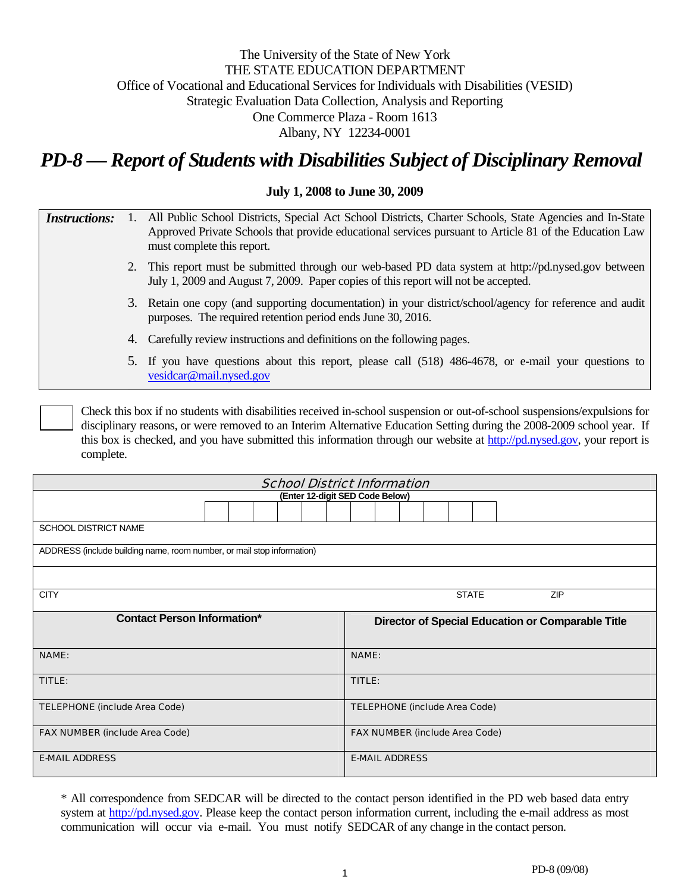# The University of the State of New York THE STATE EDUCATION DEPARTMENT Office of Vocational and Educational Services for Individuals with Disabilities (VESID) Strategic Evaluation Data Collection, Analysis and Reporting One Commerce Plaza - Room 1613 Albany, NY 12234-0001

# *PD-8 — Report of Students with Disabilities Subject of Disciplinary Removal*

## **July 1, 2008 to June 30, 2009**

| <i>Instructions:</i> | 1. All Public School Districts, Special Act School Districts, Charter Schools, State Agencies and In-State |
|----------------------|------------------------------------------------------------------------------------------------------------|
|                      | Approved Private Schools that provide educational services pursuant to Article 81 of the Education Law     |
|                      | must complete this report.                                                                                 |

- 2. This report must be submitted through our web-based PD data system at http://pd.nysed.gov between July 1, 2009 and August 7, 2009. Paper copies of this report will not be accepted.
- 3. Retain one copy (and supporting documentation) in your district/school/agency for reference and audit purposes. The required retention period ends June 30, 2016.
- 4. Carefully review instructions and definitions on the following pages.
- 5. If you have questions about this report, please call (518) 486-4678, or e-mail your questions to vesidcar@mail.nysed.gov

Check this box if no students with disabilities received in-school suspension or out-of-school suspensions/expulsions for disciplinary reasons, or were removed to an Interim Alternative Education Setting during the 2008-2009 school year. If this box is checked, and you have submitted this information through our website at http://pd.nysed.gov, your report is complete.

| <b>School District Information</b>        |                                                                        |  |  |  |                                       |                                                   |              |  |  |  |  |  |  |  |  |  |  |  |
|-------------------------------------------|------------------------------------------------------------------------|--|--|--|---------------------------------------|---------------------------------------------------|--------------|--|--|--|--|--|--|--|--|--|--|--|
|                                           | (Enter 12-digit SED Code Below)                                        |  |  |  |                                       |                                                   |              |  |  |  |  |  |  |  |  |  |  |  |
|                                           |                                                                        |  |  |  |                                       |                                                   |              |  |  |  |  |  |  |  |  |  |  |  |
| <b>SCHOOL DISTRICT NAME</b>               |                                                                        |  |  |  |                                       |                                                   |              |  |  |  |  |  |  |  |  |  |  |  |
|                                           | ADDRESS (include building name, room number, or mail stop information) |  |  |  |                                       |                                                   |              |  |  |  |  |  |  |  |  |  |  |  |
|                                           |                                                                        |  |  |  |                                       |                                                   |              |  |  |  |  |  |  |  |  |  |  |  |
| <b>STATE</b><br><b>CITY</b><br><b>ZIP</b> |                                                                        |  |  |  |                                       |                                                   |              |  |  |  |  |  |  |  |  |  |  |  |
| <b>Contact Person Information*</b>        |                                                                        |  |  |  |                                       | Director of Special Education or Comparable Title |              |  |  |  |  |  |  |  |  |  |  |  |
| <b>NAME:</b>                              |                                                                        |  |  |  |                                       |                                                   | <b>NAME:</b> |  |  |  |  |  |  |  |  |  |  |  |
| TITLE:                                    |                                                                        |  |  |  | TITLE:                                |                                                   |              |  |  |  |  |  |  |  |  |  |  |  |
| <b>TELEPHONE (include Area Code)</b>      |                                                                        |  |  |  | <b>TELEPHONE (include Area Code)</b>  |                                                   |              |  |  |  |  |  |  |  |  |  |  |  |
| <b>FAX NUMBER (include Area Code)</b>     |                                                                        |  |  |  | <b>FAX NUMBER (include Area Code)</b> |                                                   |              |  |  |  |  |  |  |  |  |  |  |  |
| <b>E-MAIL ADDRESS</b>                     |                                                                        |  |  |  | <b>E-MAIL ADDRESS</b>                 |                                                   |              |  |  |  |  |  |  |  |  |  |  |  |

<sup>\*</sup> All correspondence from SEDCAR will be directed to the contact person identified in the PD web based data entry system at http://pd.nysed.gov. Please keep the contact person information current, including the e-mail address as most communication will occur via e-mail. You must notify SEDCAR of any change in the contact person.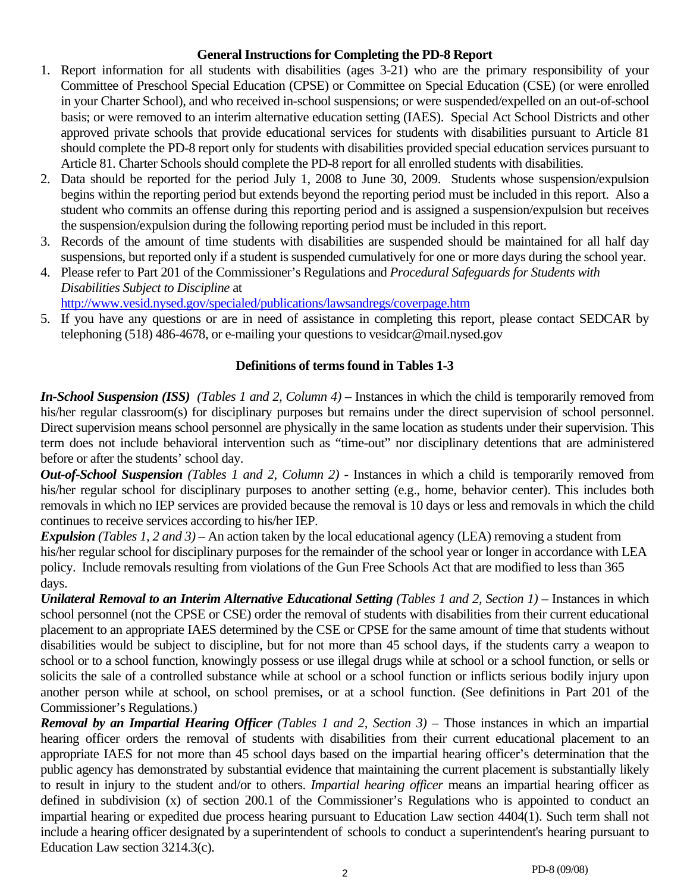## **General Instructions for Completing the PD-8 Report**

- 1. Report information for all students with disabilities (ages 3-21) who are the primary responsibility of your Committee of Preschool Special Education (CPSE) or Committee on Special Education (CSE) (or were enrolled in your Charter School), and who received in-school suspensions; or were suspended/expelled on an out-of-school basis; or were removed to an interim alternative education setting (IAES). Special Act School Districts and other approved private schools that provide educational services for students with disabilities pursuant to Article 81 should complete the PD-8 report only for students with disabilities provided special education services pursuant to Article 81. Charter Schools should complete the PD-8 report for all enrolled students with disabilities.
- 2. Data should be reported for the period July 1, 2008 to June 30, 2009. Students whose suspension/expulsion begins within the reporting period but extends beyond the reporting period must be included in this report. Also a student who commits an offense during this reporting period and is assigned a suspension/expulsion but receives the suspension/expulsion during the following reporting period must be included in this report.
- 3. Records of the amount of time students with disabilities are suspended should be maintained for all half day suspensions, but reported only if a student is suspended cumulatively for one or more days during the school year.
- 4. Please refer to Part 201 of the Commissioner's Regulations and *Procedural Safeguards for Students with Disabilities Subject to Discipline* at http://www.vesid.nysed.gov/specialed/publications/lawsandregs/coverpage.htm
- 5. If you have any questions or are in need of assistance in completing this report, please contact SEDCAR by telephoning (518) 486-4678, or e-mailing your questions to vesidcar@mail.nysed.gov

# **Definitions of terms found in Tables 1-3**

*In-School Suspension (ISS) (Tables 1 and 2, Column 4)* – Instances in which the child is temporarily removed from his/her regular classroom(s) for disciplinary purposes but remains under the direct supervision of school personnel. Direct supervision means school personnel are physically in the same location as students under their supervision. This term does not include behavioral intervention such as "time-out" nor disciplinary detentions that are administered before or after the students' school day.

*Out-of-School Suspension (Tables 1 and 2, Column 2) -* Instances in which a child is temporarily removed from his/her regular school for disciplinary purposes to another setting (e.g., home, behavior center). This includes both removals in which no IEP services are provided because the removal is 10 days or less and removals in which the child continues to receive services according to his/her IEP.

*Expulsion (Tables 1, 2 and 3)* – An action taken by the local educational agency (LEA) removing a student from his/her regular school for disciplinary purposes for the remainder of the school year or longer in accordance with LEA policy. Include removals resulting from violations of the Gun Free Schools Act that are modified to less than 365 days.

*Unilateral Removal to an Interim Alternative Educational Setting (Tables 1 and 2, Section 1)* – Instances in which school personnel (not the CPSE or CSE) order the removal of students with disabilities from their current educational placement to an appropriate IAES determined by the CSE or CPSE for the same amount of time that students without disabilities would be subject to discipline, but for not more than 45 school days, if the students carry a weapon to school or to a school function, knowingly possess or use illegal drugs while at school or a school function, or sells or solicits the sale of a controlled substance while at school or a school function or inflicts serious bodily injury upon another person while at school, on school premises, or at a school function. (See definitions in Part 201 of the Commissioner's Regulations.)

*Removal by an Impartial Hearing Officer (Tables 1 and 2, Section 3)* – Those instances in which an impartial hearing officer orders the removal of students with disabilities from their current educational placement to an appropriate IAES for not more than 45 school days based on the impartial hearing officer's determination that the public agency has demonstrated by substantial evidence that maintaining the current placement is substantially likely to result in injury to the student and/or to others. *Impartial hearing officer* means an impartial hearing officer as defined in subdivision (x) of section 200.1 of the Commissioner's Regulations who is appointed to conduct an impartial hearing or expedited due process hearing pursuant to Education Law section 4404(1). Such term shall not include a hearing officer designated by a superintendent of schools to conduct a superintendent's hearing pursuant to Education Law section 3214.3(c).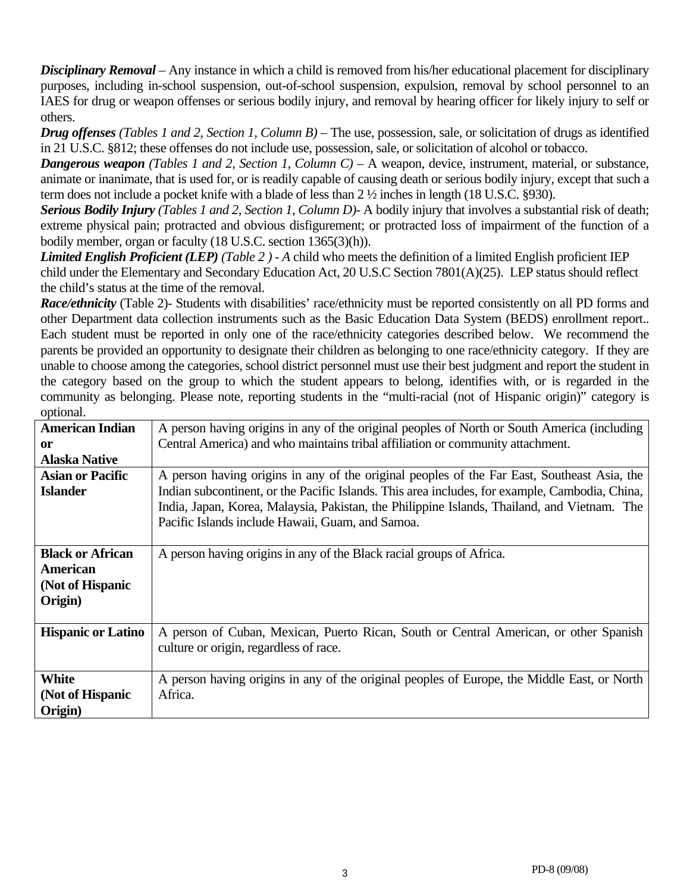*Disciplinary Removal* – Any instance in which a child is removed from his/her educational placement for disciplinary purposes, including in-school suspension, out-of-school suspension, expulsion, removal by school personnel to an IAES for drug or weapon offenses or serious bodily injury, and removal by hearing officer for likely injury to self or others.

*Drug offenses (Tables 1 and 2, Section 1, Column B)* – The use, possession, sale, or solicitation of drugs as identified in 21 U.S.C. §812; these offenses do not include use, possession, sale, or solicitation of alcohol or tobacco.

*Dangerous weapon (Tables 1 and 2, Section 1, Column C)* – A weapon, device, instrument, material, or substance, animate or inanimate, that is used for, or is readily capable of causing death or serious bodily injury, except that such a term does not include a pocket knife with a blade of less than 2 ½ inches in length (18 U.S.C. §930).

*Serious Bodily Injury (Tables 1 and 2, Section 1, Column D)-* A bodily injury that involves a substantial risk of death; extreme physical pain; protracted and obvious disfigurement; or protracted loss of impairment of the function of a bodily member, organ or faculty (18 U.S.C. section 1365(3)(h)).

*Limited English Proficient (LEP) (Table 2 ) - A* child who meets the definition of a limited English proficient IEP child under the Elementary and Secondary Education Act, 20 U.S.C Section 7801(A)(25). LEP status should reflect the child's status at the time of the removal.

*Race/ethnicity* (Table 2)- Students with disabilities' race/ethnicity must be reported consistently on all PD forms and other Department data collection instruments such as the Basic Education Data System (BEDS) enrollment report.. Each student must be reported in only one of the race/ethnicity categories described below. We recommend the parents be provided an opportunity to designate their children as belonging to one race/ethnicity category. If they are unable to choose among the categories, school district personnel must use their best judgment and report the student in the category based on the group to which the student appears to belong, identifies with, or is regarded in the community as belonging. Please note, reporting students in the "multi-racial (not of Hispanic origin)" category is optional.

| <b>American Indian</b>    | A person having origins in any of the original peoples of North or South America (including    |
|---------------------------|------------------------------------------------------------------------------------------------|
| <sub>or</sub>             | Central America) and who maintains tribal affiliation or community attachment.                 |
| <b>Alaska Native</b>      |                                                                                                |
| <b>Asian or Pacific</b>   | A person having origins in any of the original peoples of the Far East, Southeast Asia, the    |
| <b>Islander</b>           | Indian subcontinent, or the Pacific Islands. This area includes, for example, Cambodia, China, |
|                           | India, Japan, Korea, Malaysia, Pakistan, the Philippine Islands, Thailand, and Vietnam. The    |
|                           | Pacific Islands include Hawaii, Guam, and Samoa.                                               |
|                           |                                                                                                |
| <b>Black or African</b>   | A person having origins in any of the Black racial groups of Africa.                           |
| American                  |                                                                                                |
| (Not of Hispanic          |                                                                                                |
| Origin)                   |                                                                                                |
|                           |                                                                                                |
| <b>Hispanic or Latino</b> | A person of Cuban, Mexican, Puerto Rican, South or Central American, or other Spanish          |
|                           | culture or origin, regardless of race.                                                         |
|                           |                                                                                                |
| White                     | A person having origins in any of the original peoples of Europe, the Middle East, or North    |
| (Not of Hispanic          | Africa.                                                                                        |
| Origin)                   |                                                                                                |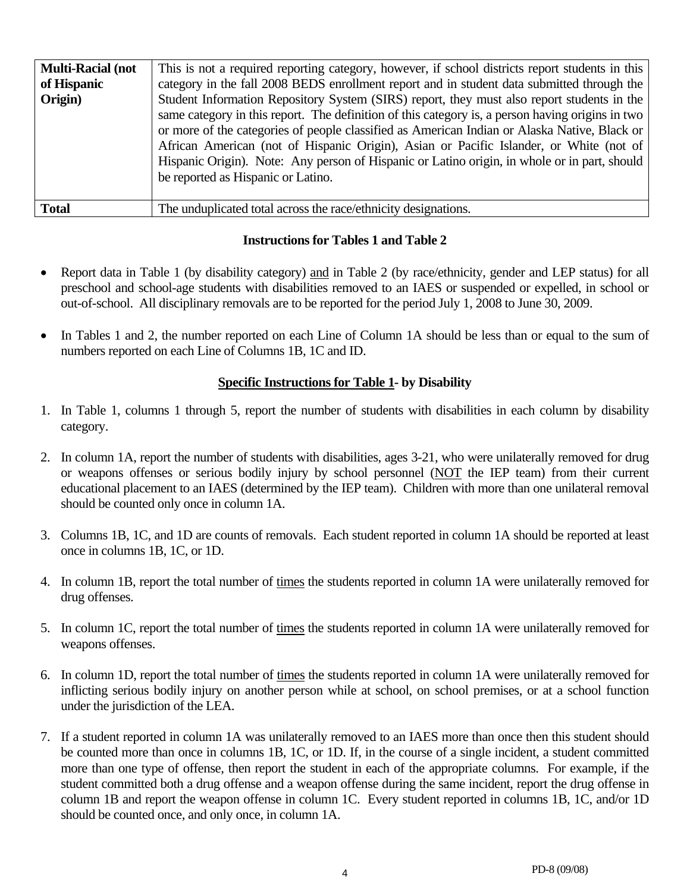| <b>Multi-Racial (not</b> | This is not a required reporting category, however, if school districts report students in this                                                                                                                                                                                                                                                                                                                                                                                                                                |
|--------------------------|--------------------------------------------------------------------------------------------------------------------------------------------------------------------------------------------------------------------------------------------------------------------------------------------------------------------------------------------------------------------------------------------------------------------------------------------------------------------------------------------------------------------------------|
| of Hispanic              | category in the fall 2008 BEDS enrollment report and in student data submitted through the                                                                                                                                                                                                                                                                                                                                                                                                                                     |
| Origin)                  | Student Information Repository System (SIRS) report, they must also report students in the<br>same category in this report. The definition of this category is, a person having origins in two<br>or more of the categories of people classified as American Indian or Alaska Native, Black or<br>African American (not of Hispanic Origin), Asian or Pacific Islander, or White (not of<br>Hispanic Origin). Note: Any person of Hispanic or Latino origin, in whole or in part, should<br>be reported as Hispanic or Latino. |
| <b>Total</b>             | The unduplicated total across the race/ethnicity designations.                                                                                                                                                                                                                                                                                                                                                                                                                                                                 |

## **Instructions for Tables 1 and Table 2**

- Report data in Table 1 (by disability category) and in Table 2 (by race/ethnicity, gender and LEP status) for all preschool and school-age students with disabilities removed to an IAES or suspended or expelled, in school or out-of-school. All disciplinary removals are to be reported for the period July 1, 2008 to June 30, 2009.
- In Tables 1 and 2, the number reported on each Line of Column 1A should be less than or equal to the sum of numbers reported on each Line of Columns 1B, 1C and ID.

## **Specific Instructions for Table 1- by Disability**

- 1. In Table 1, columns 1 through 5, report the number of students with disabilities in each column by disability category.
- 2. In column 1A, report the number of students with disabilities, ages 3-21, who were unilaterally removed for drug or weapons offenses or serious bodily injury by school personnel (NOT the IEP team) from their current educational placement to an IAES (determined by the IEP team). Children with more than one unilateral removal should be counted only once in column 1A.
- 3. Columns 1B, 1C, and 1D are counts of removals. Each student reported in column 1A should be reported at least once in columns 1B, 1C, or 1D.
- 4. In column 1B, report the total number of times the students reported in column 1A were unilaterally removed for drug offenses.
- 5. In column 1C, report the total number of times the students reported in column 1A were unilaterally removed for weapons offenses.
- 6. In column 1D, report the total number of times the students reported in column 1A were unilaterally removed for inflicting serious bodily injury on another person while at school, on school premises, or at a school function under the jurisdiction of the LEA.
- 7. If a student reported in column 1A was unilaterally removed to an IAES more than once then this student should be counted more than once in columns 1B, 1C, or 1D. If, in the course of a single incident, a student committed more than one type of offense, then report the student in each of the appropriate columns. For example, if the student committed both a drug offense and a weapon offense during the same incident, report the drug offense in column 1B and report the weapon offense in column 1C. Every student reported in columns 1B, 1C, and/or 1D should be counted once, and only once, in column 1A.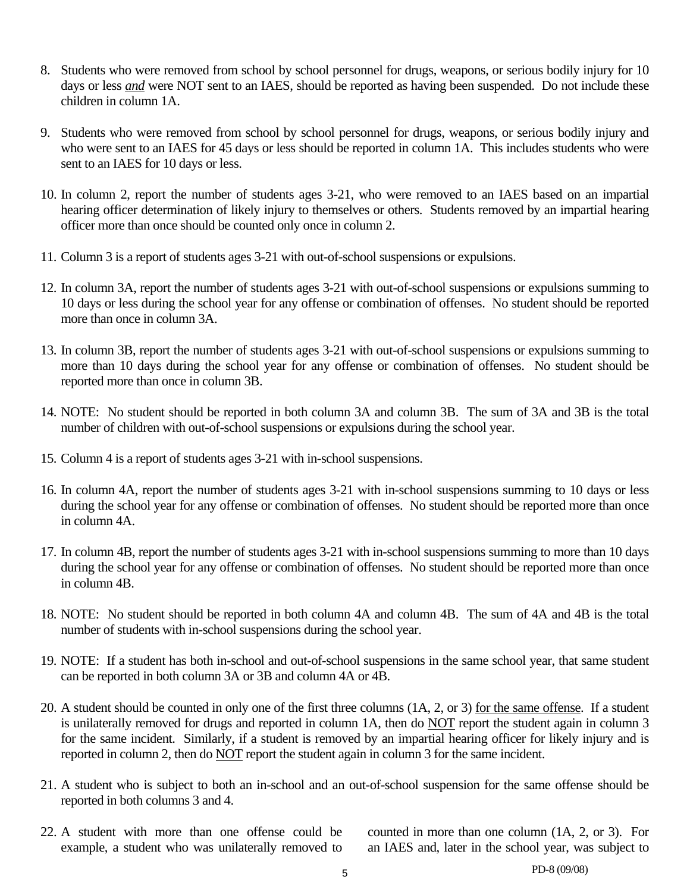- 8. Students who were removed from school by school personnel for drugs, weapons, or serious bodily injury for 10 days or less *and* were NOT sent to an IAES, should be reported as having been suspended. Do not include these children in column 1A.
- 9. Students who were removed from school by school personnel for drugs, weapons, or serious bodily injury and who were sent to an IAES for 45 days or less should be reported in column 1A. This includes students who were sent to an IAES for 10 days or less.
- 10. In column 2, report the number of students ages 3-21, who were removed to an IAES based on an impartial hearing officer determination of likely injury to themselves or others. Students removed by an impartial hearing officer more than once should be counted only once in column 2.
- 11. Column 3 is a report of students ages 3-21 with out-of-school suspensions or expulsions.
- 12. In column 3A, report the number of students ages 3-21 with out-of-school suspensions or expulsions summing to 10 days or less during the school year for any offense or combination of offenses. No student should be reported more than once in column 3A.
- 13. In column 3B, report the number of students ages 3-21 with out-of-school suspensions or expulsions summing to more than 10 days during the school year for any offense or combination of offenses. No student should be reported more than once in column 3B.
- 14. NOTE: No student should be reported in both column 3A and column 3B. The sum of 3A and 3B is the total number of children with out-of-school suspensions or expulsions during the school year.
- 15. Column 4 is a report of students ages 3-21 with in-school suspensions.
- 16. In column 4A, report the number of students ages 3-21 with in-school suspensions summing to 10 days or less during the school year for any offense or combination of offenses. No student should be reported more than once in column 4A.
- 17. In column 4B, report the number of students ages 3-21 with in-school suspensions summing to more than 10 days during the school year for any offense or combination of offenses. No student should be reported more than once in column 4B.
- 18. NOTE: No student should be reported in both column 4A and column 4B. The sum of 4A and 4B is the total number of students with in-school suspensions during the school year.
- 19. NOTE: If a student has both in-school and out-of-school suspensions in the same school year, that same student can be reported in both column 3A or 3B and column 4A or 4B.
- 20. A student should be counted in only one of the first three columns (1A, 2, or 3) for the same offense. If a student is unilaterally removed for drugs and reported in column 1A, then do NOT report the student again in column 3 for the same incident. Similarly, if a student is removed by an impartial hearing officer for likely injury and is reported in column 2, then do NOT report the student again in column 3 for the same incident.
- 21. A student who is subject to both an in-school and an out-of-school suspension for the same offense should be reported in both columns 3 and 4.
- 22. A student with more than one offense could be counted in more than one column (1A, 2, or 3). For

example, a student who was unilaterally removed to an IAES and, later in the school year, was subject to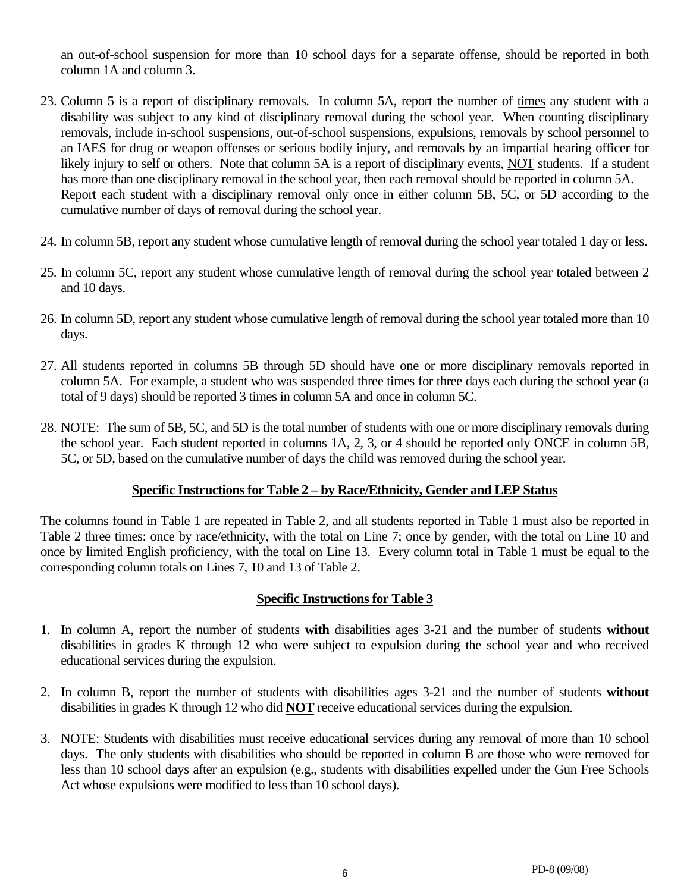an out-of-school suspension for more than 10 school days for a separate offense, should be reported in both column 1A and column 3.

- 23. Column 5 is a report of disciplinary removals. In column 5A, report the number of times any student with a disability was subject to any kind of disciplinary removal during the school year. When counting disciplinary removals, include in-school suspensions, out-of-school suspensions, expulsions, removals by school personnel to an IAES for drug or weapon offenses or serious bodily injury, and removals by an impartial hearing officer for likely injury to self or others. Note that column 5A is a report of disciplinary events, NOT students. If a student has more than one disciplinary removal in the school year, then each removal should be reported in column 5A. Report each student with a disciplinary removal only once in either column 5B, 5C, or 5D according to the cumulative number of days of removal during the school year.
- 24. In column 5B, report any student whose cumulative length of removal during the school year totaled 1 day or less.
- 25. In column 5C, report any student whose cumulative length of removal during the school year totaled between 2 and 10 days.
- 26. In column 5D, report any student whose cumulative length of removal during the school year totaled more than 10 days.
- 27. All students reported in columns 5B through 5D should have one or more disciplinary removals reported in column 5A. For example, a student who was suspended three times for three days each during the school year (a total of 9 days) should be reported 3 times in column 5A and once in column 5C.
- 28. NOTE: The sum of 5B, 5C, and 5D is the total number of students with one or more disciplinary removals during the school year. Each student reported in columns 1A, 2, 3, or 4 should be reported only ONCE in column 5B, 5C, or 5D, based on the cumulative number of days the child was removed during the school year.

# **Specific Instructions for Table 2 – by Race/Ethnicity, Gender and LEP Status**

The columns found in Table 1 are repeated in Table 2, and all students reported in Table 1 must also be reported in Table 2 three times: once by race/ethnicity, with the total on Line 7; once by gender, with the total on Line 10 and once by limited English proficiency, with the total on Line 13. Every column total in Table 1 must be equal to the corresponding column totals on Lines 7, 10 and 13 of Table 2.

# **Specific Instructions for Table 3**

- 1. In column A, report the number of students **with** disabilities ages 3-21 and the number of students **without**  disabilities in grades K through 12 who were subject to expulsion during the school year and who received educational services during the expulsion.
- 2. In column B, report the number of students with disabilities ages 3-21 and the number of students **without**  disabilities in grades K through 12 who did **NOT** receive educational services during the expulsion.
- 3. NOTE: Students with disabilities must receive educational services during any removal of more than 10 school days. The only students with disabilities who should be reported in column B are those who were removed for less than 10 school days after an expulsion (e.g., students with disabilities expelled under the Gun Free Schools Act whose expulsions were modified to less than 10 school days).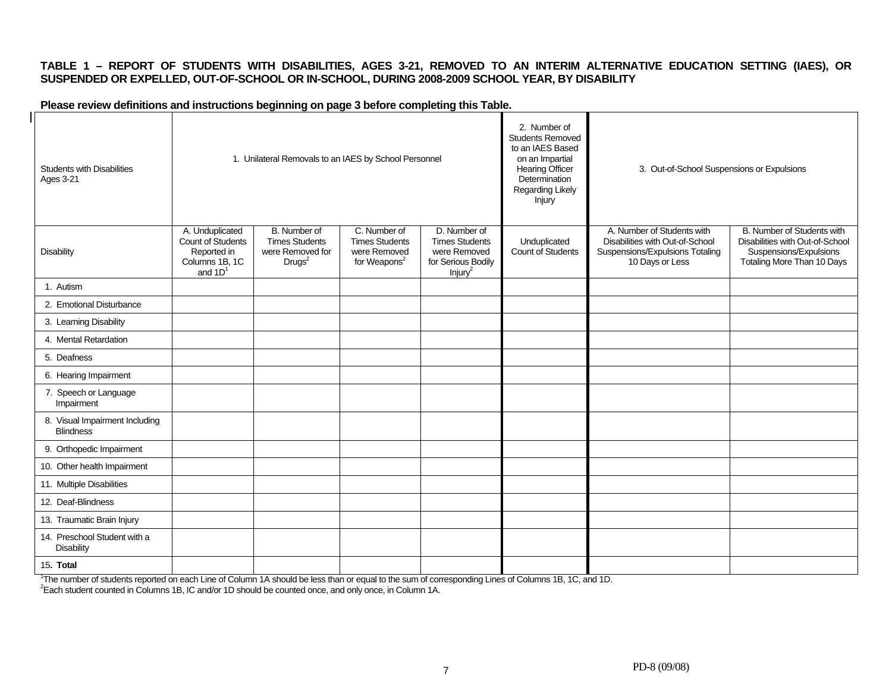#### **TABLE 1 – REPORT OF STUDENTS WITH DISABILITIES, AGES 3-21, REMOVED TO AN INTERIM ALTERNATIVE EDUCATION SETTING (IAES), OR SUSPENDED OR EXPELLED, OUT-OF-SCHOOL OR IN-SCHOOL, DURING 2008-2009 SCHOOL YEAR, BY DISABILITY**

#### **Please review definitions and instructions beginning on page 3 before completing this Table.**

| <b>Students with Disabilities</b><br><b>Ages 3-21</b> |                                                                                    | 1. Unilateral Removals to an IAES by School Personnel                           |                                                                                   |                                                                                                    | 2. Number of<br><b>Students Removed</b><br>to an IAES Based<br>on an Impartial<br><b>Hearing Officer</b><br>Determination<br>Regarding Likely<br><b>Injury</b> | 3. Out-of-School Suspensions or Expulsions                                                                          |                                                                                                                       |
|-------------------------------------------------------|------------------------------------------------------------------------------------|---------------------------------------------------------------------------------|-----------------------------------------------------------------------------------|----------------------------------------------------------------------------------------------------|----------------------------------------------------------------------------------------------------------------------------------------------------------------|---------------------------------------------------------------------------------------------------------------------|-----------------------------------------------------------------------------------------------------------------------|
| <b>Disability</b>                                     | A. Unduplicated<br>Count of Students<br>Reported in<br>Columns 1B, 1C<br>and $1D1$ | B. Number of<br><b>Times Students</b><br>were Removed for<br>Drugs <sup>2</sup> | C. Number of<br><b>Times Students</b><br>were Removed<br>for Weapons <sup>2</sup> | D. Number of<br><b>Times Students</b><br>were Removed<br>for Serious Bodily<br>Injury <sup>2</sup> | Unduplicated<br>Count of Students                                                                                                                              | A. Number of Students with<br>Disabilities with Out-of-School<br>Suspensions/Expulsions Totaling<br>10 Days or Less | B. Number of Students with<br>Disabilities with Out-of-School<br>Suspensions/Expulsions<br>Totaling More Than 10 Days |
| 1. Autism                                             |                                                                                    |                                                                                 |                                                                                   |                                                                                                    |                                                                                                                                                                |                                                                                                                     |                                                                                                                       |
| 2. Emotional Disturbance                              |                                                                                    |                                                                                 |                                                                                   |                                                                                                    |                                                                                                                                                                |                                                                                                                     |                                                                                                                       |
| 3. Learning Disability                                |                                                                                    |                                                                                 |                                                                                   |                                                                                                    |                                                                                                                                                                |                                                                                                                     |                                                                                                                       |
| 4. Mental Retardation                                 |                                                                                    |                                                                                 |                                                                                   |                                                                                                    |                                                                                                                                                                |                                                                                                                     |                                                                                                                       |
| 5. Deafness                                           |                                                                                    |                                                                                 |                                                                                   |                                                                                                    |                                                                                                                                                                |                                                                                                                     |                                                                                                                       |
| 6. Hearing Impairment                                 |                                                                                    |                                                                                 |                                                                                   |                                                                                                    |                                                                                                                                                                |                                                                                                                     |                                                                                                                       |
| 7. Speech or Language<br>Impairment                   |                                                                                    |                                                                                 |                                                                                   |                                                                                                    |                                                                                                                                                                |                                                                                                                     |                                                                                                                       |
| 8. Visual Impairment Including<br><b>Blindness</b>    |                                                                                    |                                                                                 |                                                                                   |                                                                                                    |                                                                                                                                                                |                                                                                                                     |                                                                                                                       |
| 9. Orthopedic Impairment                              |                                                                                    |                                                                                 |                                                                                   |                                                                                                    |                                                                                                                                                                |                                                                                                                     |                                                                                                                       |
| 10. Other health Impairment                           |                                                                                    |                                                                                 |                                                                                   |                                                                                                    |                                                                                                                                                                |                                                                                                                     |                                                                                                                       |
| 11. Multiple Disabilities                             |                                                                                    |                                                                                 |                                                                                   |                                                                                                    |                                                                                                                                                                |                                                                                                                     |                                                                                                                       |
| 12. Deaf-Blindness                                    |                                                                                    |                                                                                 |                                                                                   |                                                                                                    |                                                                                                                                                                |                                                                                                                     |                                                                                                                       |
| 13. Traumatic Brain Injury                            |                                                                                    |                                                                                 |                                                                                   |                                                                                                    |                                                                                                                                                                |                                                                                                                     |                                                                                                                       |
| 14. Preschool Student with a<br><b>Disability</b>     |                                                                                    |                                                                                 |                                                                                   |                                                                                                    |                                                                                                                                                                |                                                                                                                     |                                                                                                                       |
| 15. Total                                             |                                                                                    |                                                                                 |                                                                                   |                                                                                                    |                                                                                                                                                                |                                                                                                                     |                                                                                                                       |

<sup>1</sup>The number of students reported on each Line of Column 1A should be less than or equal to the sum of corresponding Lines of Columns 1B, 1C, and 1D.<br><sup>2</sup>Each student counted in Columns 1B, IC and/or 1D should be counted o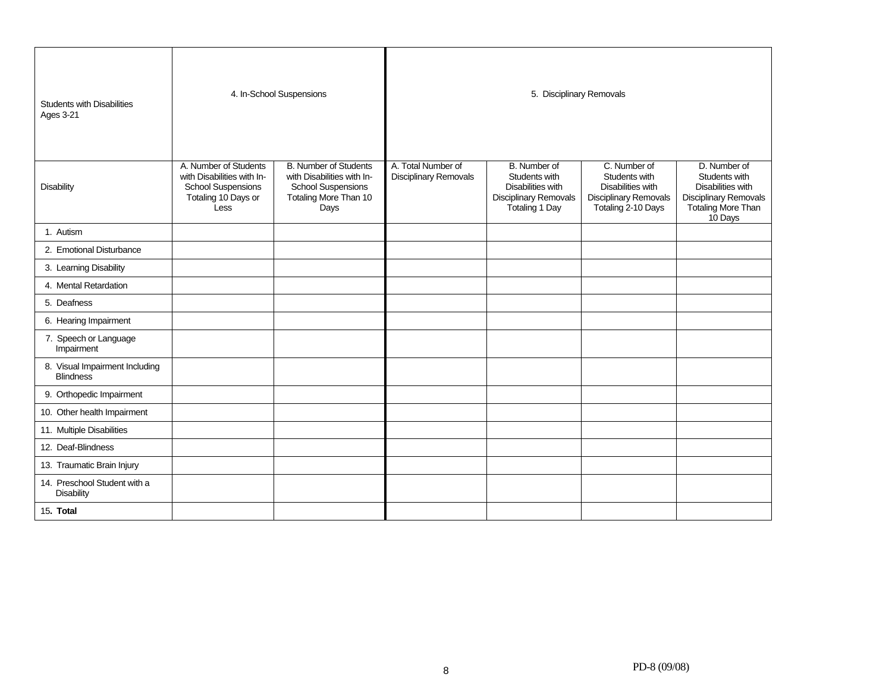| <b>Students with Disabilities</b><br><b>Ages 3-21</b> |                                                                                                                 | 4. In-School Suspensions                                                                                                 | 5. Disciplinary Removals                    |                                                                                                      |                                                                                                                 |                                                                                                                            |  |  |
|-------------------------------------------------------|-----------------------------------------------------------------------------------------------------------------|--------------------------------------------------------------------------------------------------------------------------|---------------------------------------------|------------------------------------------------------------------------------------------------------|-----------------------------------------------------------------------------------------------------------------|----------------------------------------------------------------------------------------------------------------------------|--|--|
| <b>Disability</b>                                     | A. Number of Students<br>with Disabilities with In-<br><b>School Suspensions</b><br>Totaling 10 Days or<br>Less | <b>B. Number of Students</b><br>with Disabilities with In-<br><b>School Suspensions</b><br>Totaling More Than 10<br>Days | A. Total Number of<br>Disciplinary Removals | B. Number of<br>Students with<br>Disabilities with<br><b>Disciplinary Removals</b><br>Totaling 1 Day | C. Number of<br>Students with<br><b>Disabilities with</b><br><b>Disciplinary Removals</b><br>Totaling 2-10 Days | D. Number of<br>Students with<br><b>Disabilities with</b><br><b>Disciplinary Removals</b><br>Totaling More Than<br>10 Days |  |  |
| 1. Autism                                             |                                                                                                                 |                                                                                                                          |                                             |                                                                                                      |                                                                                                                 |                                                                                                                            |  |  |
| 2. Emotional Disturbance                              |                                                                                                                 |                                                                                                                          |                                             |                                                                                                      |                                                                                                                 |                                                                                                                            |  |  |
| 3. Learning Disability                                |                                                                                                                 |                                                                                                                          |                                             |                                                                                                      |                                                                                                                 |                                                                                                                            |  |  |
| 4. Mental Retardation                                 |                                                                                                                 |                                                                                                                          |                                             |                                                                                                      |                                                                                                                 |                                                                                                                            |  |  |
| 5. Deafness                                           |                                                                                                                 |                                                                                                                          |                                             |                                                                                                      |                                                                                                                 |                                                                                                                            |  |  |
| 6. Hearing Impairment                                 |                                                                                                                 |                                                                                                                          |                                             |                                                                                                      |                                                                                                                 |                                                                                                                            |  |  |
| 7. Speech or Language<br>Impairment                   |                                                                                                                 |                                                                                                                          |                                             |                                                                                                      |                                                                                                                 |                                                                                                                            |  |  |
| 8. Visual Impairment Including<br><b>Blindness</b>    |                                                                                                                 |                                                                                                                          |                                             |                                                                                                      |                                                                                                                 |                                                                                                                            |  |  |
| 9. Orthopedic Impairment                              |                                                                                                                 |                                                                                                                          |                                             |                                                                                                      |                                                                                                                 |                                                                                                                            |  |  |
| 10. Other health Impairment                           |                                                                                                                 |                                                                                                                          |                                             |                                                                                                      |                                                                                                                 |                                                                                                                            |  |  |
| 11. Multiple Disabilities                             |                                                                                                                 |                                                                                                                          |                                             |                                                                                                      |                                                                                                                 |                                                                                                                            |  |  |
| 12. Deaf-Blindness                                    |                                                                                                                 |                                                                                                                          |                                             |                                                                                                      |                                                                                                                 |                                                                                                                            |  |  |
| 13. Traumatic Brain Injury                            |                                                                                                                 |                                                                                                                          |                                             |                                                                                                      |                                                                                                                 |                                                                                                                            |  |  |
| 14. Preschool Student with a<br>Disability            |                                                                                                                 |                                                                                                                          |                                             |                                                                                                      |                                                                                                                 |                                                                                                                            |  |  |
| 15. Total                                             |                                                                                                                 |                                                                                                                          |                                             |                                                                                                      |                                                                                                                 |                                                                                                                            |  |  |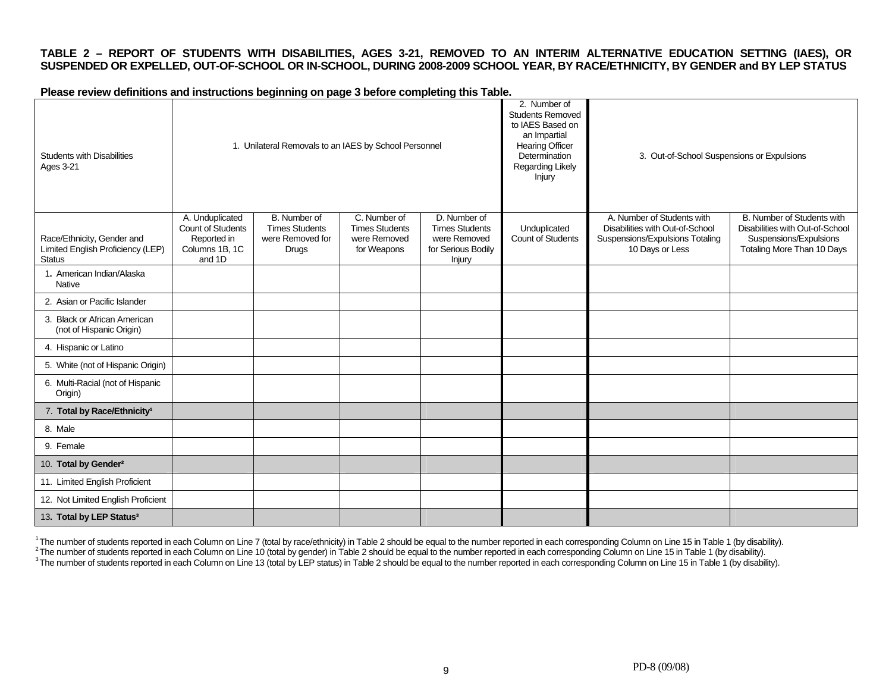#### **TABLE 2 – REPORT OF STUDENTS WITH DISABILITIES, AGES 3-21, REMOVED TO AN INTERIM ALTERNATIVE EDUCATION SETTING (IAES), OR SUSPENDED OR EXPELLED, OUT-OF-SCHOOL OR IN-SCHOOL, DURING 2008-2009 SCHOOL YEAR, BY RACE/ETHNICITY, BY GENDER and BY LEP STATUS**

**Please review definitions and instructions beginning on page 3 before completing this Table.** 

| <b>Students with Disabilities</b><br>Ages 3-21                                   |                                                                                 | 1. Unilateral Removals to an IAES by School Personnel                     |                                                                      |                                                                                       | 2. Number of<br><b>Students Removed</b><br>to IAES Based on<br>an Impartial<br>Hearing Officer<br>Determination<br>Regarding Likely<br>Injury | 3. Out-of-School Suspensions or Expulsions                                                                          |                                                                                                                       |
|----------------------------------------------------------------------------------|---------------------------------------------------------------------------------|---------------------------------------------------------------------------|----------------------------------------------------------------------|---------------------------------------------------------------------------------------|-----------------------------------------------------------------------------------------------------------------------------------------------|---------------------------------------------------------------------------------------------------------------------|-----------------------------------------------------------------------------------------------------------------------|
| Race/Ethnicity, Gender and<br>Limited English Proficiency (LEP)<br><b>Status</b> | A. Unduplicated<br>Count of Students<br>Reported in<br>Columns 1B, 1C<br>and 1D | B. Number of<br><b>Times Students</b><br>were Removed for<br><b>Drugs</b> | C. Number of<br><b>Times Students</b><br>were Removed<br>for Weapons | D. Number of<br><b>Times Students</b><br>were Removed<br>for Serious Bodily<br>Injury | Unduplicated<br>Count of Students                                                                                                             | A. Number of Students with<br>Disabilities with Out-of-School<br>Suspensions/Expulsions Totaling<br>10 Days or Less | B. Number of Students with<br>Disabilities with Out-of-School<br>Suspensions/Expulsions<br>Totaling More Than 10 Days |
| 1. American Indian/Alaska<br>Native                                              |                                                                                 |                                                                           |                                                                      |                                                                                       |                                                                                                                                               |                                                                                                                     |                                                                                                                       |
| 2. Asian or Pacific Islander                                                     |                                                                                 |                                                                           |                                                                      |                                                                                       |                                                                                                                                               |                                                                                                                     |                                                                                                                       |
| 3. Black or African American<br>(not of Hispanic Origin)                         |                                                                                 |                                                                           |                                                                      |                                                                                       |                                                                                                                                               |                                                                                                                     |                                                                                                                       |
| 4. Hispanic or Latino                                                            |                                                                                 |                                                                           |                                                                      |                                                                                       |                                                                                                                                               |                                                                                                                     |                                                                                                                       |
| 5. White (not of Hispanic Origin)                                                |                                                                                 |                                                                           |                                                                      |                                                                                       |                                                                                                                                               |                                                                                                                     |                                                                                                                       |
| 6. Multi-Racial (not of Hispanic<br>Origin)                                      |                                                                                 |                                                                           |                                                                      |                                                                                       |                                                                                                                                               |                                                                                                                     |                                                                                                                       |
| 7. Total by Race/Ethnicity <sup>1</sup>                                          |                                                                                 |                                                                           |                                                                      |                                                                                       |                                                                                                                                               |                                                                                                                     |                                                                                                                       |
| 8. Male                                                                          |                                                                                 |                                                                           |                                                                      |                                                                                       |                                                                                                                                               |                                                                                                                     |                                                                                                                       |
| 9. Female                                                                        |                                                                                 |                                                                           |                                                                      |                                                                                       |                                                                                                                                               |                                                                                                                     |                                                                                                                       |
| 10. Total by Gender <sup>2</sup>                                                 |                                                                                 |                                                                           |                                                                      |                                                                                       |                                                                                                                                               |                                                                                                                     |                                                                                                                       |
| 11. Limited English Proficient                                                   |                                                                                 |                                                                           |                                                                      |                                                                                       |                                                                                                                                               |                                                                                                                     |                                                                                                                       |
| 12. Not Limited English Proficient                                               |                                                                                 |                                                                           |                                                                      |                                                                                       |                                                                                                                                               |                                                                                                                     |                                                                                                                       |
| 13. Total by LEP Status <sup>3</sup>                                             |                                                                                 |                                                                           |                                                                      |                                                                                       |                                                                                                                                               |                                                                                                                     |                                                                                                                       |

<sup>1</sup>The number of students reported in each Column on Line 7 (total by race/ethnicity) in Table 2 should be equal to the number reported in each corresponding Column on Line 15 in Table 1 (by disability).<br>
<sup>2</sup>The number of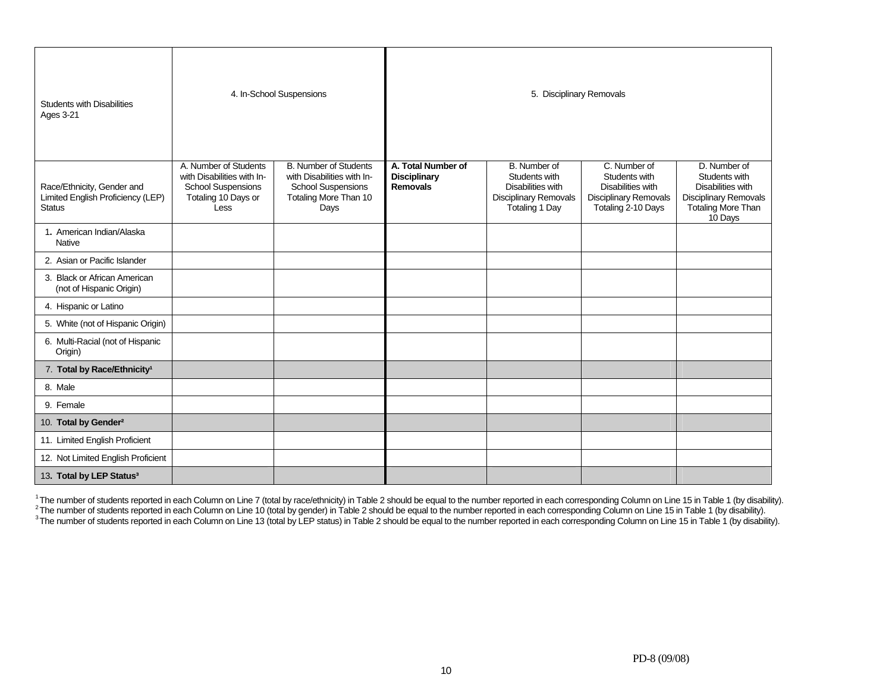| <b>Students with Disabilities</b><br><b>Ages 3-21</b>                            |                                                                                                                 | 4. In-School Suspensions                                                                                                 | 5. Disciplinary Removals                                     |                                                                                                             |                                                                                                          |                                                                                                                            |  |
|----------------------------------------------------------------------------------|-----------------------------------------------------------------------------------------------------------------|--------------------------------------------------------------------------------------------------------------------------|--------------------------------------------------------------|-------------------------------------------------------------------------------------------------------------|----------------------------------------------------------------------------------------------------------|----------------------------------------------------------------------------------------------------------------------------|--|
| Race/Ethnicity, Gender and<br>Limited English Proficiency (LEP)<br><b>Status</b> | A. Number of Students<br>with Disabilities with In-<br><b>School Suspensions</b><br>Totaling 10 Days or<br>Less | <b>B. Number of Students</b><br>with Disabilities with In-<br><b>School Suspensions</b><br>Totaling More Than 10<br>Days | A. Total Number of<br><b>Disciplinary</b><br><b>Removals</b> | B. Number of<br>Students with<br>Disabilities with<br><b>Disciplinary Removals</b><br><b>Totaling 1 Day</b> | C. Number of<br>Students with<br>Disabilities with<br><b>Disciplinary Removals</b><br>Totaling 2-10 Days | D. Number of<br>Students with<br>Disabilities with<br><b>Disciplinary Removals</b><br><b>Totaling More Than</b><br>10 Days |  |
| 1. American Indian/Alaska<br>Native                                              |                                                                                                                 |                                                                                                                          |                                                              |                                                                                                             |                                                                                                          |                                                                                                                            |  |
| 2. Asian or Pacific Islander                                                     |                                                                                                                 |                                                                                                                          |                                                              |                                                                                                             |                                                                                                          |                                                                                                                            |  |
| 3. Black or African American<br>(not of Hispanic Origin)                         |                                                                                                                 |                                                                                                                          |                                                              |                                                                                                             |                                                                                                          |                                                                                                                            |  |
| 4. Hispanic or Latino                                                            |                                                                                                                 |                                                                                                                          |                                                              |                                                                                                             |                                                                                                          |                                                                                                                            |  |
| 5. White (not of Hispanic Origin)                                                |                                                                                                                 |                                                                                                                          |                                                              |                                                                                                             |                                                                                                          |                                                                                                                            |  |
| 6. Multi-Racial (not of Hispanic<br>Origin)                                      |                                                                                                                 |                                                                                                                          |                                                              |                                                                                                             |                                                                                                          |                                                                                                                            |  |
| 7. Total by Race/Ethnicity <sup>1</sup>                                          |                                                                                                                 |                                                                                                                          |                                                              |                                                                                                             |                                                                                                          |                                                                                                                            |  |
| 8. Male                                                                          |                                                                                                                 |                                                                                                                          |                                                              |                                                                                                             |                                                                                                          |                                                                                                                            |  |
| 9. Female                                                                        |                                                                                                                 |                                                                                                                          |                                                              |                                                                                                             |                                                                                                          |                                                                                                                            |  |
| 10. Total by Gender <sup>2</sup>                                                 |                                                                                                                 |                                                                                                                          |                                                              |                                                                                                             |                                                                                                          |                                                                                                                            |  |
| 11. Limited English Proficient                                                   |                                                                                                                 |                                                                                                                          |                                                              |                                                                                                             |                                                                                                          |                                                                                                                            |  |
| 12. Not Limited English Proficient                                               |                                                                                                                 |                                                                                                                          |                                                              |                                                                                                             |                                                                                                          |                                                                                                                            |  |
| 13. Total by LEP Status <sup>3</sup>                                             |                                                                                                                 |                                                                                                                          |                                                              |                                                                                                             |                                                                                                          |                                                                                                                            |  |

<sup>1</sup>The number of students reported in each Column on Line 7 (total by race/ethnicity) in Table 2 should be equal to the number reported in each corresponding Column on Line 15 in Table 1 (by disability).<br><sup>2</sup>The number of